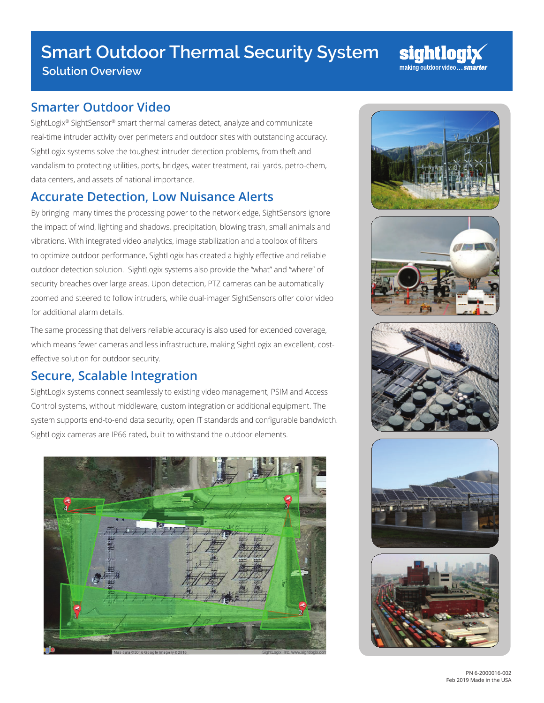## **Smart Outdoor Thermal Security System**

**Solution Overview**

## **Smarter Outdoor Video**

SightLogix® SightSensor® smart thermal cameras detect, analyze and communicate real-time intruder activity over perimeters and outdoor sites with outstanding accuracy. SightLogix systems solve the toughest intruder detection problems, from theft and vandalism to protecting utilities, ports, bridges, water treatment, rail yards, petro-chem, data centers, and assets of national importance.

## **Accurate Detection, Low Nuisance Alerts**

By bringing many times the processing power to the network edge, SightSensors ignore the impact of wind, lighting and shadows, precipitation, blowing trash, small animals and vibrations. With integrated video analytics, image stabilization and a toolbox of filters to optimize outdoor performance, SightLogix has created a highly effective and reliable outdoor detection solution. SightLogix systems also provide the "what" and "where" of security breaches over large areas. Upon detection, PTZ cameras can be automatically zoomed and steered to follow intruders, while dual-imager SightSensors offer color video for additional alarm details.

The same processing that delivers reliable accuracy is also used for extended coverage, which means fewer cameras and less infrastructure, making SightLogix an excellent, costeffective solution for outdoor security.

## **Secure, Scalable Integration**

SightLogix systems connect seamlessly to existing video management, PSIM and Access Control systems, without middleware, custom integration or additional equipment. The system supports end-to-end data security, open IT standards and configurable bandwidth. SightLogix cameras are IP66 rated, built to withstand the outdoor elements.





sightlog